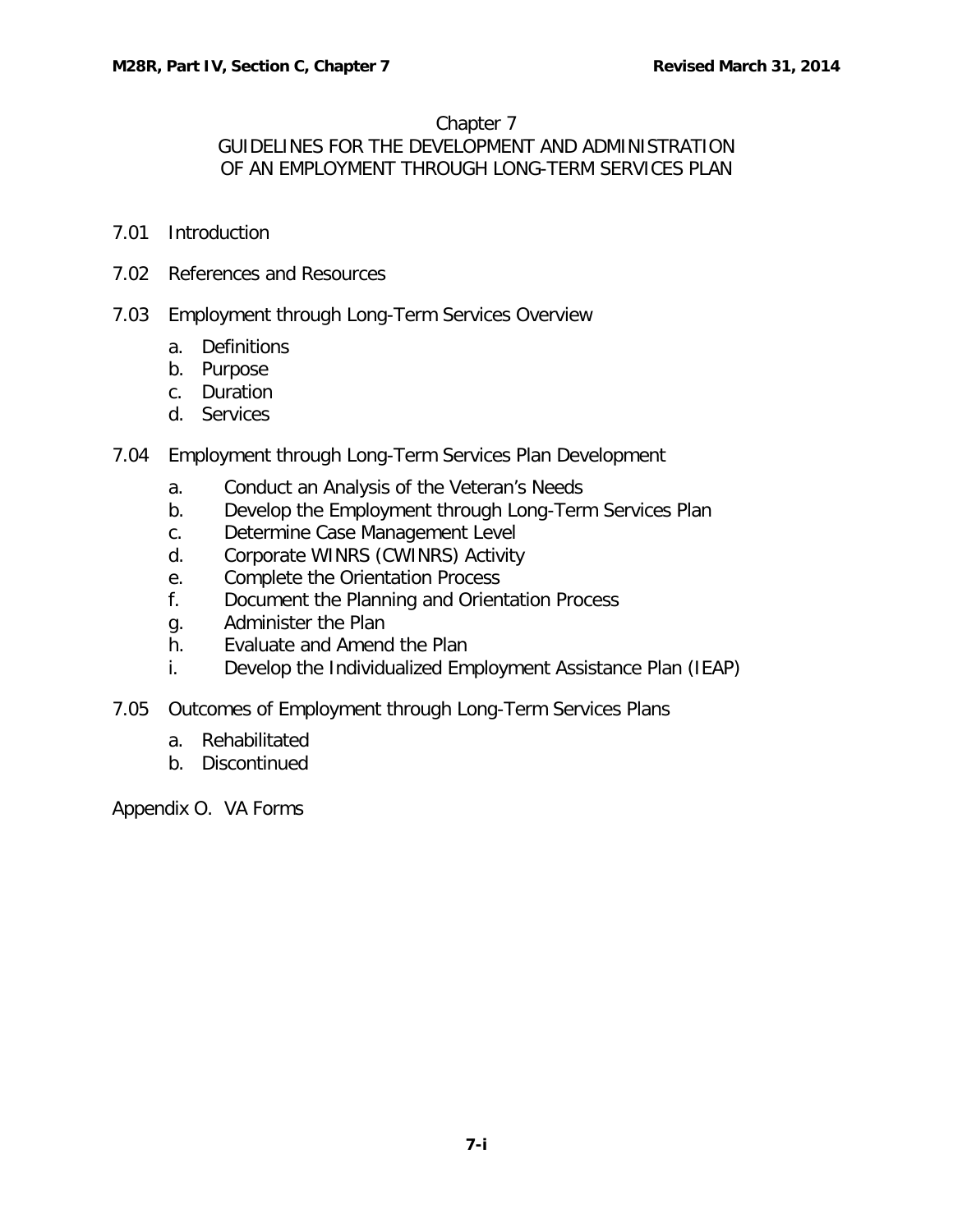#### Chapter 7

GUIDELINES FOR THE DEVELOPMENT AND ADMINISTRATION OF AN EMPLOYMENT THROUGH LONG-TERM SERVICES PLAN

- 7.01 [Introduction](#page-1-0)
- 7.02 [References and Resources](#page-1-1)
- 7.03 [Employment through Long-Term Services Overview](#page-1-2)
	- a. [Definitions](#page-1-3)
	- b. [Purpose](#page-2-0)
	- c. [Duration](#page-2-1)
	- d. [Services](#page-4-0)
- 7.04 [Employment through Long-Term Services Plan Development](#page-7-0)
	- a. [Conduct an Analysis of the Veteran's Needs](#page-7-1)
	- b. [Develop the Employment through Long-Term Services Plan](#page-7-2)
	- c. [Determine Case Management Level](#page-10-0)
	- d. [Corporate WINRS \(CWINRS\) Activity](#page-12-0)
	- e. [Complete the Orientation Process](#page-13-0)
	- f. [Document the Planning and Orientation Process](#page-14-0)
	- g. [Administer the Plan](#page-14-1)
	- h. [Evaluate and Amend the Plan](#page-14-2)
	- i. [Develop the Individualized Employment Assistance Plan \(IEAP\)](#page-15-0)
- 7.05 [Outcomes of Employment through Long-Term Services Plans](#page-15-1)
	- a. [Rehabilitated](#page-15-2)
	- b. [Discontinued](#page-16-0)

Appendix O. VA Forms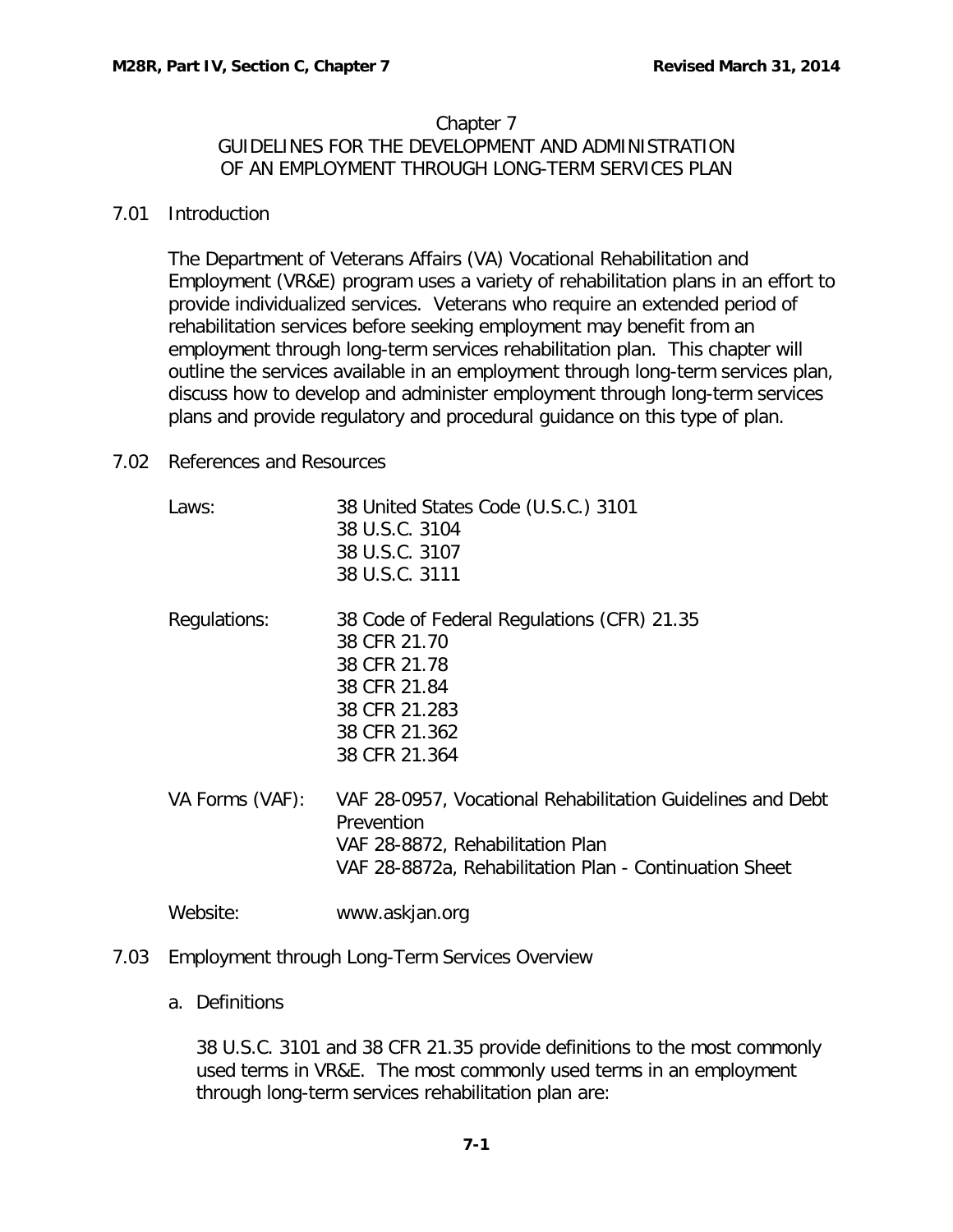#### Chapter 7 GUIDELINES FOR THE DEVELOPMENT AND ADMINISTRATION OF AN EMPLOYMENT THROUGH LONG-TERM SERVICES PLAN

#### <span id="page-1-0"></span>7.01 Introduction

The Department of Veterans Affairs (VA) Vocational Rehabilitation and Employment (VR&E) program uses a variety of rehabilitation plans in an effort to provide individualized services. Veterans who require an extended period of rehabilitation services before seeking employment may benefit from an employment through long-term services rehabilitation plan. This chapter will outline the services available in an employment through long-term services plan, discuss how to develop and administer employment through long-term services plans and provide regulatory and procedural guidance on this type of plan.

## <span id="page-1-1"></span>7.02 References and Resources

Laws: 38 United States Code (U.S.C.) 3101 38 U.S.C. 3104 38 U.S.C. 3107 38 U.S.C. 3111 Regulations: 38 Code of Federal Regulations (CFR) 21.35 38 CFR 21.70 38 CFR 21.78 38 CFR 21.84 38 CFR 21.283 38 CFR 21.362 38 CFR 21.364 VA Forms (VAF): VAF 28-0957, Vocational Rehabilitation Guidelines and Debt **Prevention** VAF 28-8872, Rehabilitation Plan VAF 28-8872a, Rehabilitation Plan - Continuation Sheet

Website: www.askjan.org

# <span id="page-1-3"></span><span id="page-1-2"></span>7.03 Employment through Long-Term Services Overview

## a. Definitions

38 U.S.C. 3101 and 38 CFR 21.35 provide definitions to the most commonly used terms in VR&E. The most commonly used terms in an employment through long-term services rehabilitation plan are: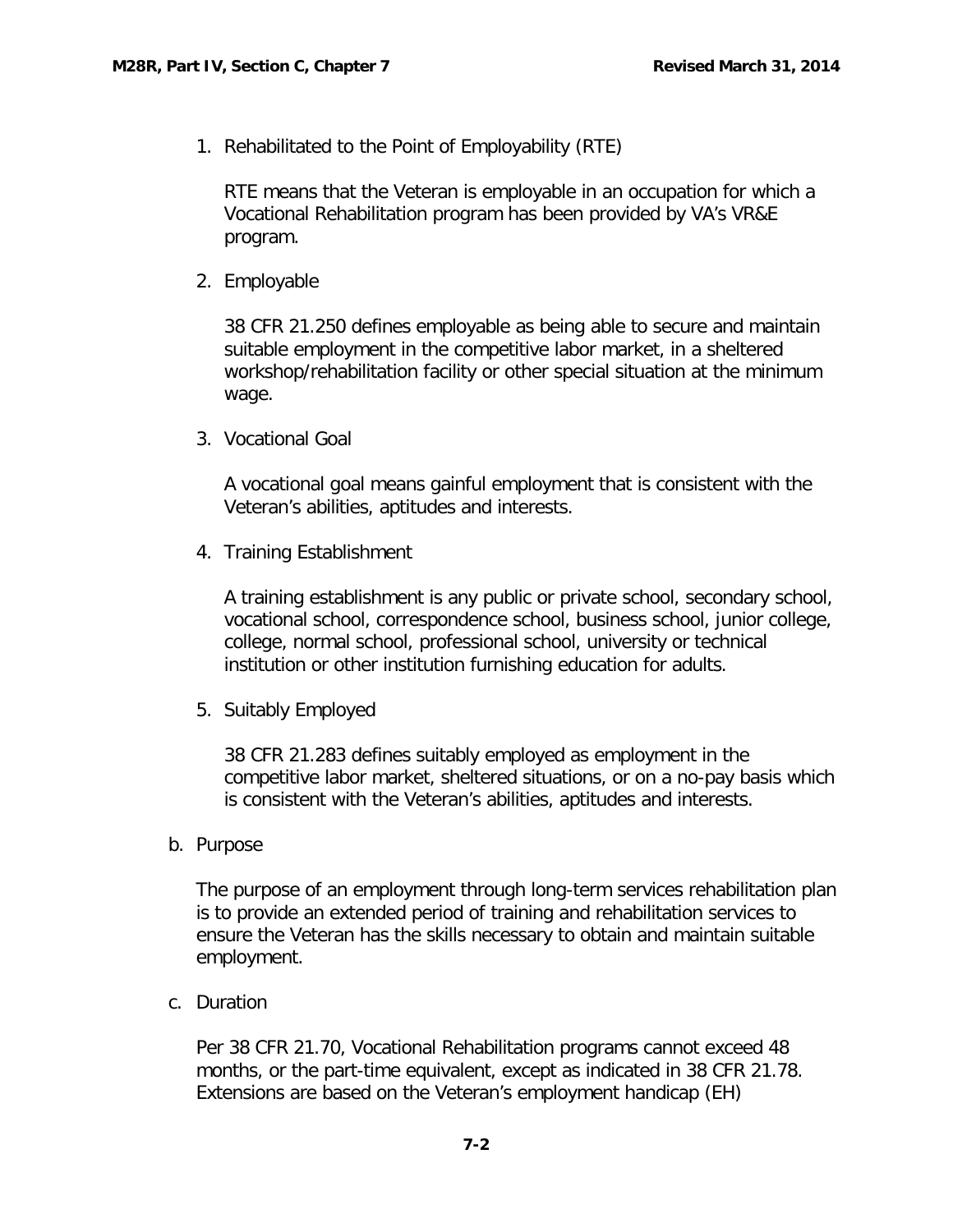1. Rehabilitated to the Point of Employability (RTE)

RTE means that the Veteran is employable in an occupation for which a Vocational Rehabilitation program has been provided by VA's VR&E program.

2. Employable

38 CFR 21.250 defines employable as being able to secure and maintain suitable employment in the competitive labor market, in a sheltered workshop/rehabilitation facility or other special situation at the minimum wage.

3. Vocational Goal

A vocational goal means gainful employment that is consistent with the Veteran's abilities, aptitudes and interests.

4. Training Establishment

A training establishment is any public or private school, secondary school, vocational school, correspondence school, business school, junior college, college, normal school, professional school, university or technical institution or other institution furnishing education for adults.

5. Suitably Employed

38 CFR 21.283 defines suitably employed as employment in the competitive labor market, sheltered situations, or on a no-pay basis which is consistent with the Veteran's abilities, aptitudes and interests.

<span id="page-2-0"></span>b. Purpose

The purpose of an employment through long-term services rehabilitation plan is to provide an extended period of training and rehabilitation services to ensure the Veteran has the skills necessary to obtain and maintain suitable employment.

<span id="page-2-1"></span>c. Duration

Per 38 CFR 21.70, Vocational Rehabilitation programs cannot exceed 48 months, or the part-time equivalent, except as indicated in 38 CFR 21.78. Extensions are based on the Veteran's employment handicap (EH)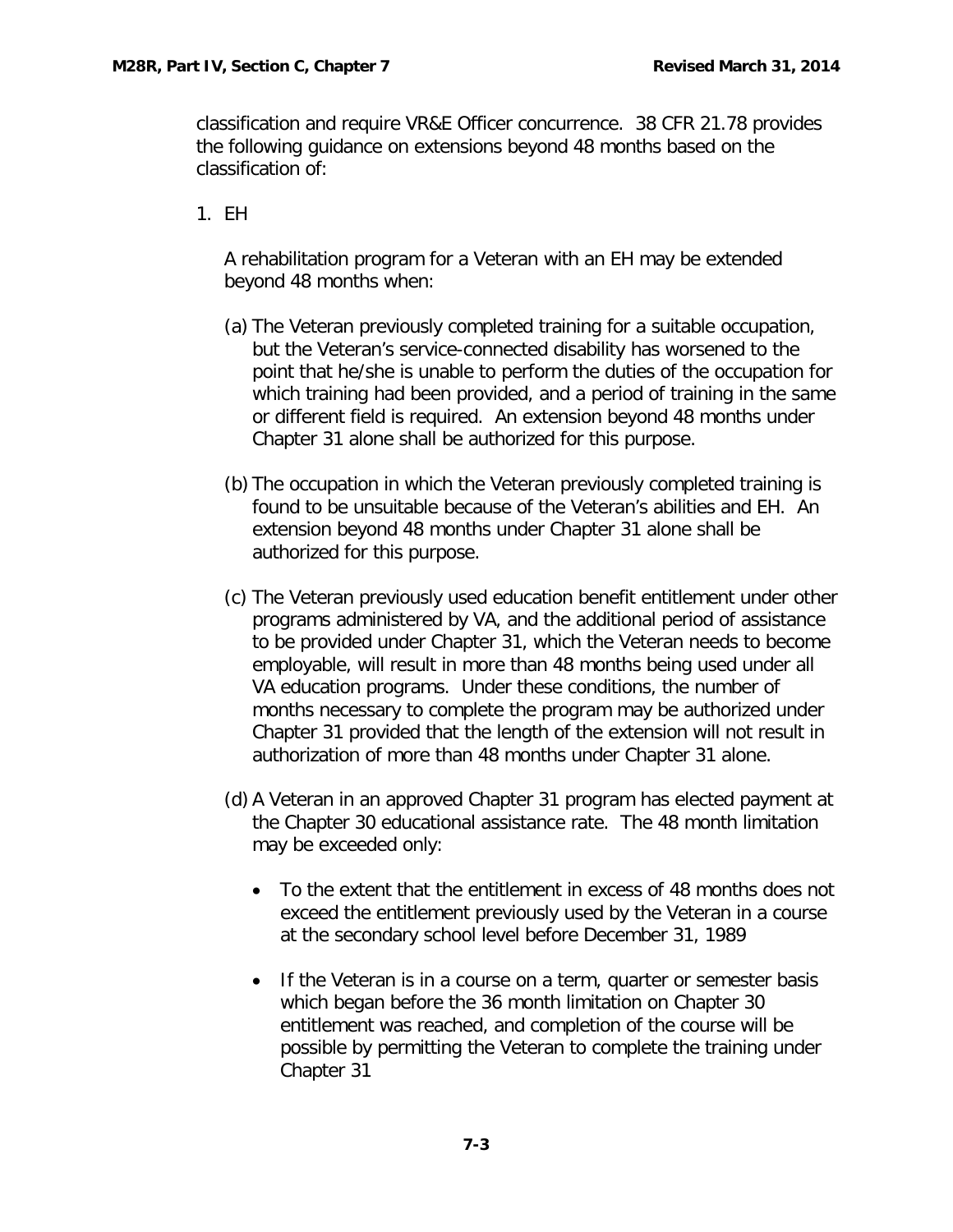classification and require VR&E Officer concurrence. 38 CFR 21.78 provides the following guidance on extensions beyond 48 months based on the classification of:

1. EH

A rehabilitation program for a Veteran with an EH may be extended beyond 48 months when:

- (a) The Veteran previously completed training for a suitable occupation, but the Veteran's service-connected disability has worsened to the point that he/she is unable to perform the duties of the occupation for which training had been provided, and a period of training in the same or different field is required. An extension beyond 48 months under Chapter 31 alone shall be authorized for this purpose.
- (b) The occupation in which the Veteran previously completed training is found to be unsuitable because of the Veteran's abilities and EH. An extension beyond 48 months under Chapter 31 alone shall be authorized for this purpose.
- (c) The Veteran previously used education benefit entitlement under other programs administered by VA, and the additional period of assistance to be provided under Chapter 31, which the Veteran needs to become employable, will result in more than 48 months being used under all VA education programs. Under these conditions, the number of months necessary to complete the program may be authorized under Chapter 31 provided that the length of the extension will not result in authorization of more than 48 months under Chapter 31 alone.
- (d) A Veteran in an approved Chapter 31 program has elected payment at the Chapter 30 educational assistance rate. The 48 month limitation may be exceeded only:
	- To the extent that the entitlement in excess of 48 months does not exceed the entitlement previously used by the Veteran in a course at the secondary school level before December 31, 1989
	- If the Veteran is in a course on a term, quarter or semester basis which began before the 36 month limitation on Chapter 30 entitlement was reached, and completion of the course will be possible by permitting the Veteran to complete the training under Chapter 31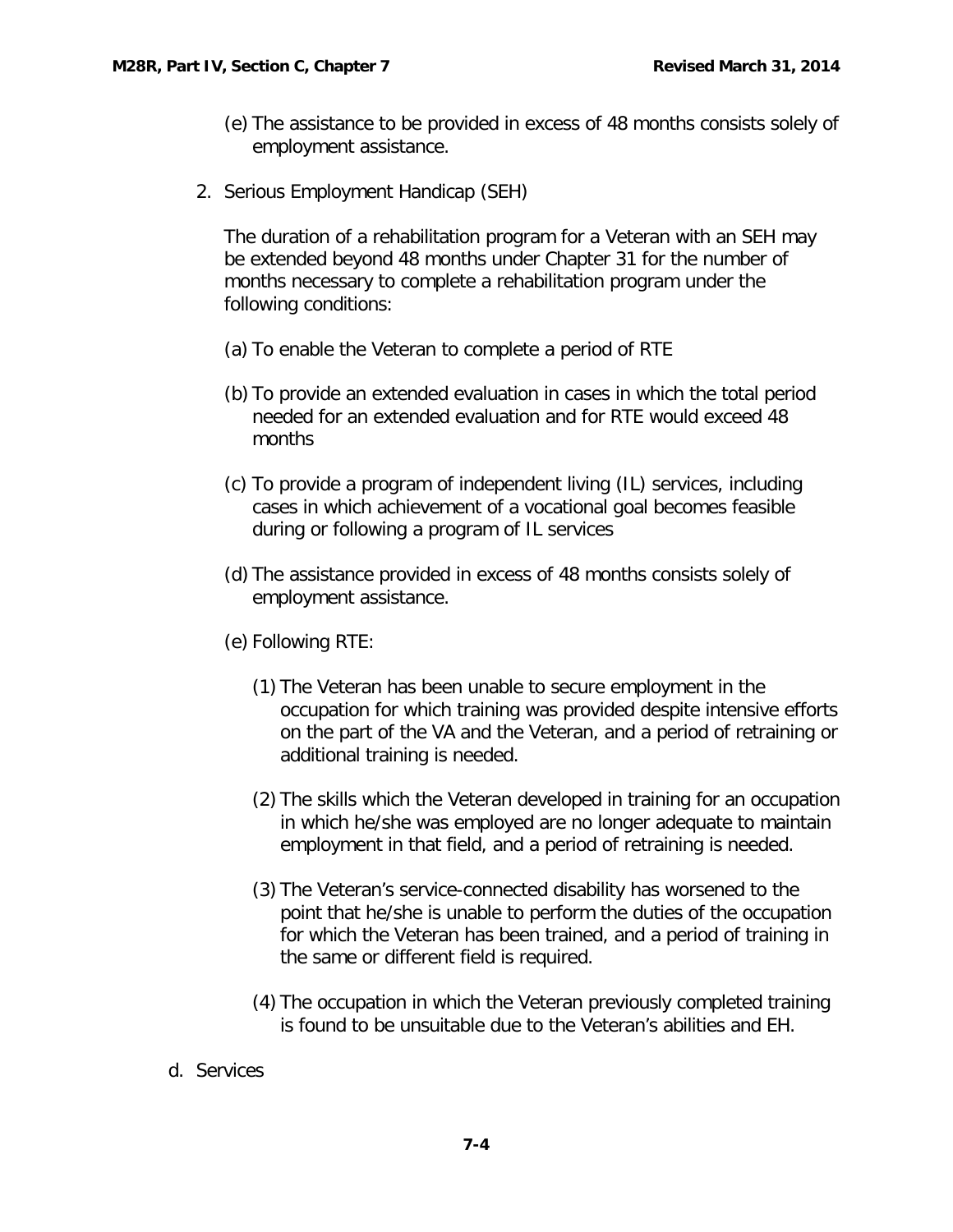- (e) The assistance to be provided in excess of 48 months consists solely of employment assistance.
- 2. Serious Employment Handicap (SEH)

The duration of a rehabilitation program for a Veteran with an SEH may be extended beyond 48 months under Chapter 31 for the number of months necessary to complete a rehabilitation program under the following conditions:

- (a) To enable the Veteran to complete a period of RTE
- (b) To provide an extended evaluation in cases in which the total period needed for an extended evaluation and for RTE would exceed 48 months
- (c) To provide a program of independent living (IL) services, including cases in which achievement of a vocational goal becomes feasible during or following a program of IL services
- (d) The assistance provided in excess of 48 months consists solely of employment assistance.
- (e) Following RTE:
	- (1) The Veteran has been unable to secure employment in the occupation for which training was provided despite intensive efforts on the part of the VA and the Veteran, and a period of retraining or additional training is needed.
	- (2) The skills which the Veteran developed in training for an occupation in which he/she was employed are no longer adequate to maintain employment in that field, and a period of retraining is needed.
	- (3) The Veteran's service-connected disability has worsened to the point that he/she is unable to perform the duties of the occupation for which the Veteran has been trained, and a period of training in the same or different field is required.
	- (4) The occupation in which the Veteran previously completed training is found to be unsuitable due to the Veteran's abilities and EH.
- <span id="page-4-0"></span>d. Services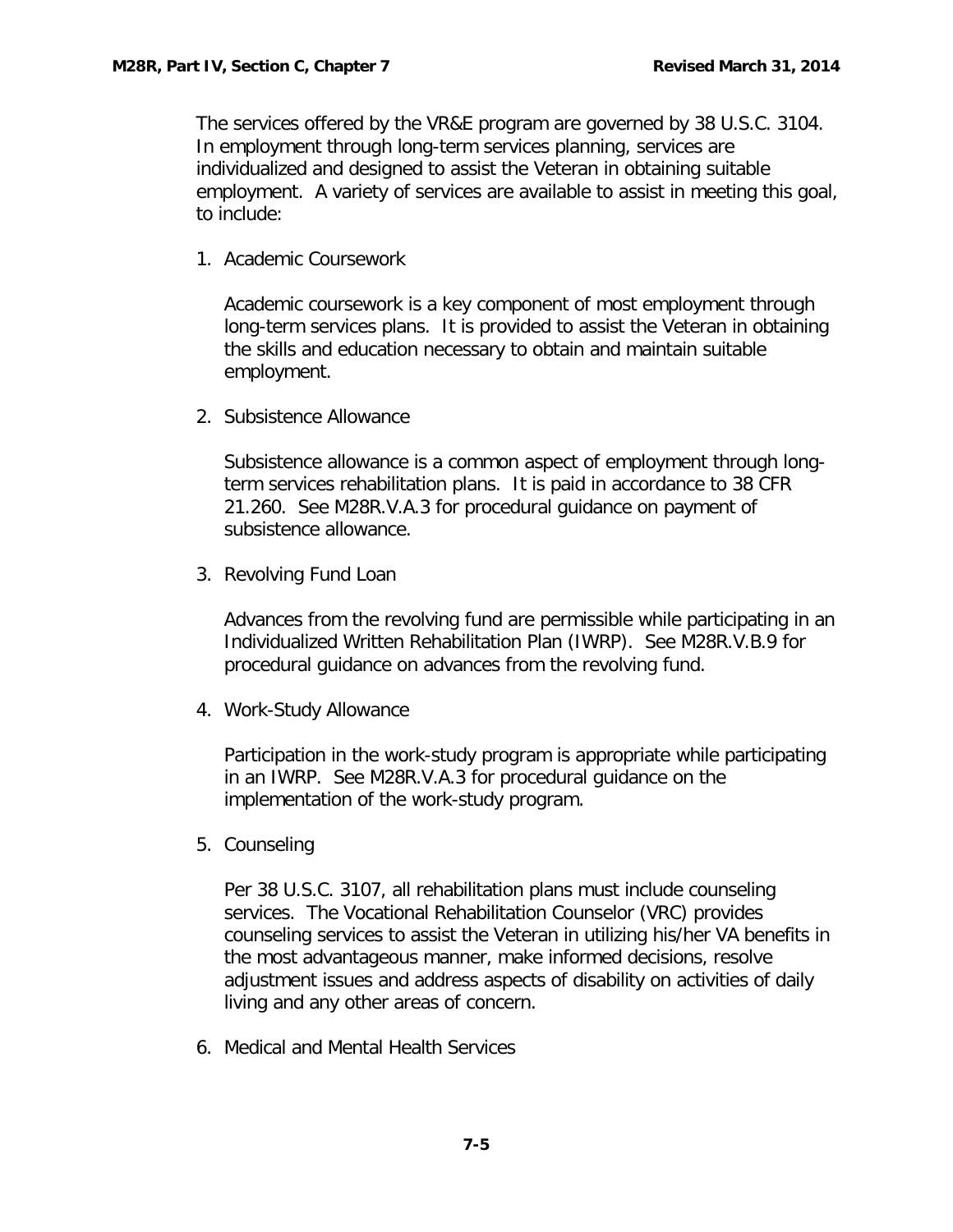The services offered by the VR&E program are governed by 38 U.S.C. 3104. In employment through long-term services planning, services are individualized and designed to assist the Veteran in obtaining suitable employment. A variety of services are available to assist in meeting this goal, to include:

1. Academic Coursework

Academic coursework is a key component of most employment through long-term services plans. It is provided to assist the Veteran in obtaining the skills and education necessary to obtain and maintain suitable employment.

2. Subsistence Allowance

Subsistence allowance is a common aspect of employment through longterm services rehabilitation plans. It is paid in accordance to 38 CFR 21.260. See M28R.V.A.3 for procedural guidance on payment of subsistence allowance.

3. Revolving Fund Loan

Advances from the revolving fund are permissible while participating in an Individualized Written Rehabilitation Plan (IWRP). See M28R.V.B.9 for procedural guidance on advances from the revolving fund.

4. Work-Study Allowance

Participation in the work-study program is appropriate while participating in an IWRP. See M28R.V.A.3 for procedural guidance on the implementation of the work-study program.

5. Counseling

Per 38 U.S.C. 3107, all rehabilitation plans must include counseling services. The Vocational Rehabilitation Counselor (VRC) provides counseling services to assist the Veteran in utilizing his/her VA benefits in the most advantageous manner, make informed decisions, resolve adjustment issues and address aspects of disability on activities of daily living and any other areas of concern.

6. Medical and Mental Health Services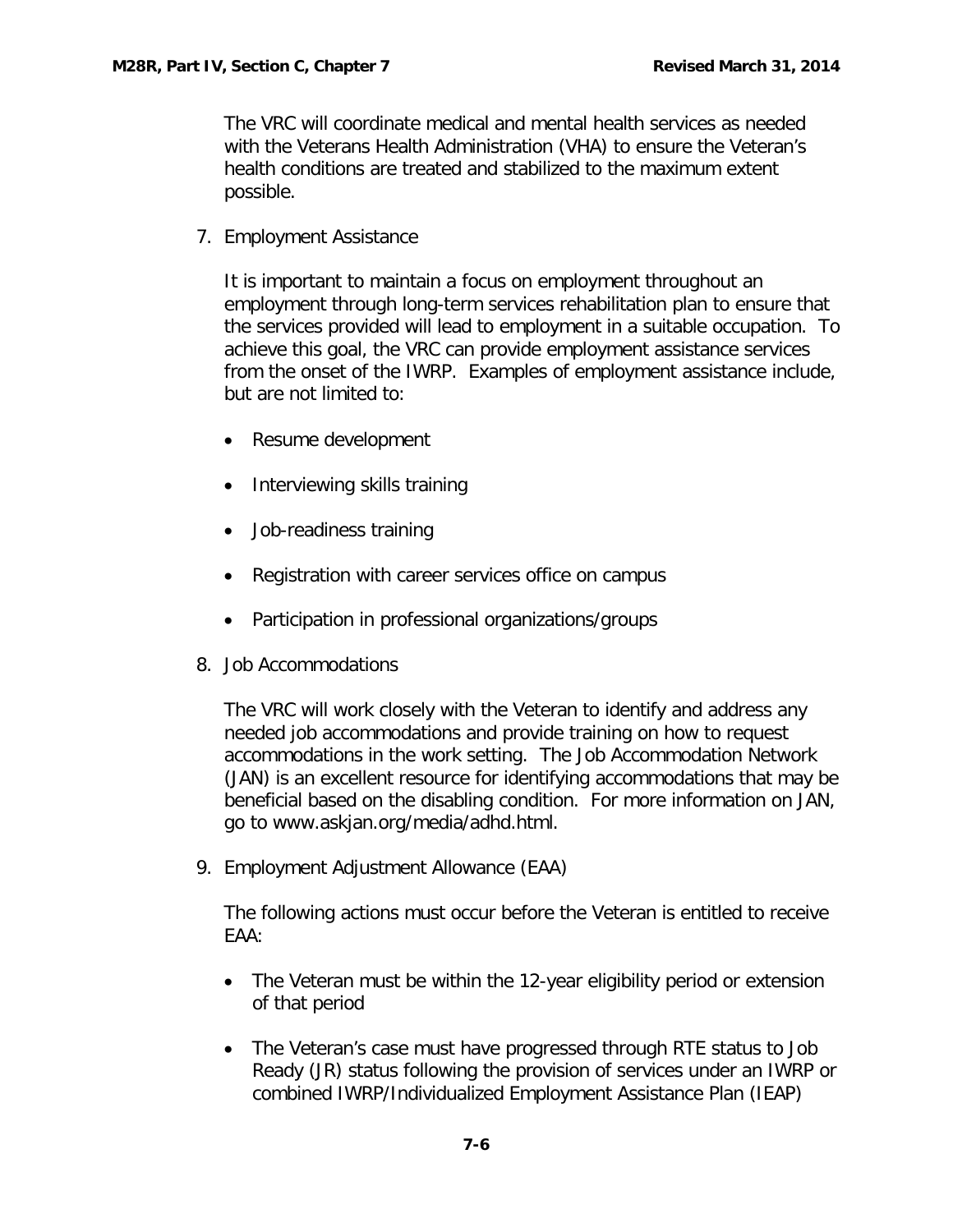The VRC will coordinate medical and mental health services as needed with the Veterans Health Administration (VHA) to ensure the Veteran's health conditions are treated and stabilized to the maximum extent possible.

7. Employment Assistance

It is important to maintain a focus on employment throughout an employment through long-term services rehabilitation plan to ensure that the services provided will lead to employment in a suitable occupation. To achieve this goal, the VRC can provide employment assistance services from the onset of the IWRP. Examples of employment assistance include, but are not limited to:

- Resume development
- Interviewing skills training
- Job-readiness training
- Registration with career services office on campus
- Participation in professional organizations/groups
- 8. Job Accommodations

The VRC will work closely with the Veteran to identify and address any needed job accommodations and provide training on how to request accommodations in the work setting. The Job Accommodation Network (JAN) is an excellent resource for identifying accommodations that may be beneficial based on the disabling condition. For more information on JAN, go to [www.askjan.org/media/adhd.html.](http://www.askjan.org/media/adhd.html)

9. Employment Adjustment Allowance (EAA)

The following actions must occur before the Veteran is entitled to receive EAA:

- The Veteran must be within the 12-year eligibility period or extension of that period
- The Veteran's case must have progressed through RTE status to Job Ready (JR) status following the provision of services under an IWRP or combined IWRP/Individualized Employment Assistance Plan (IEAP)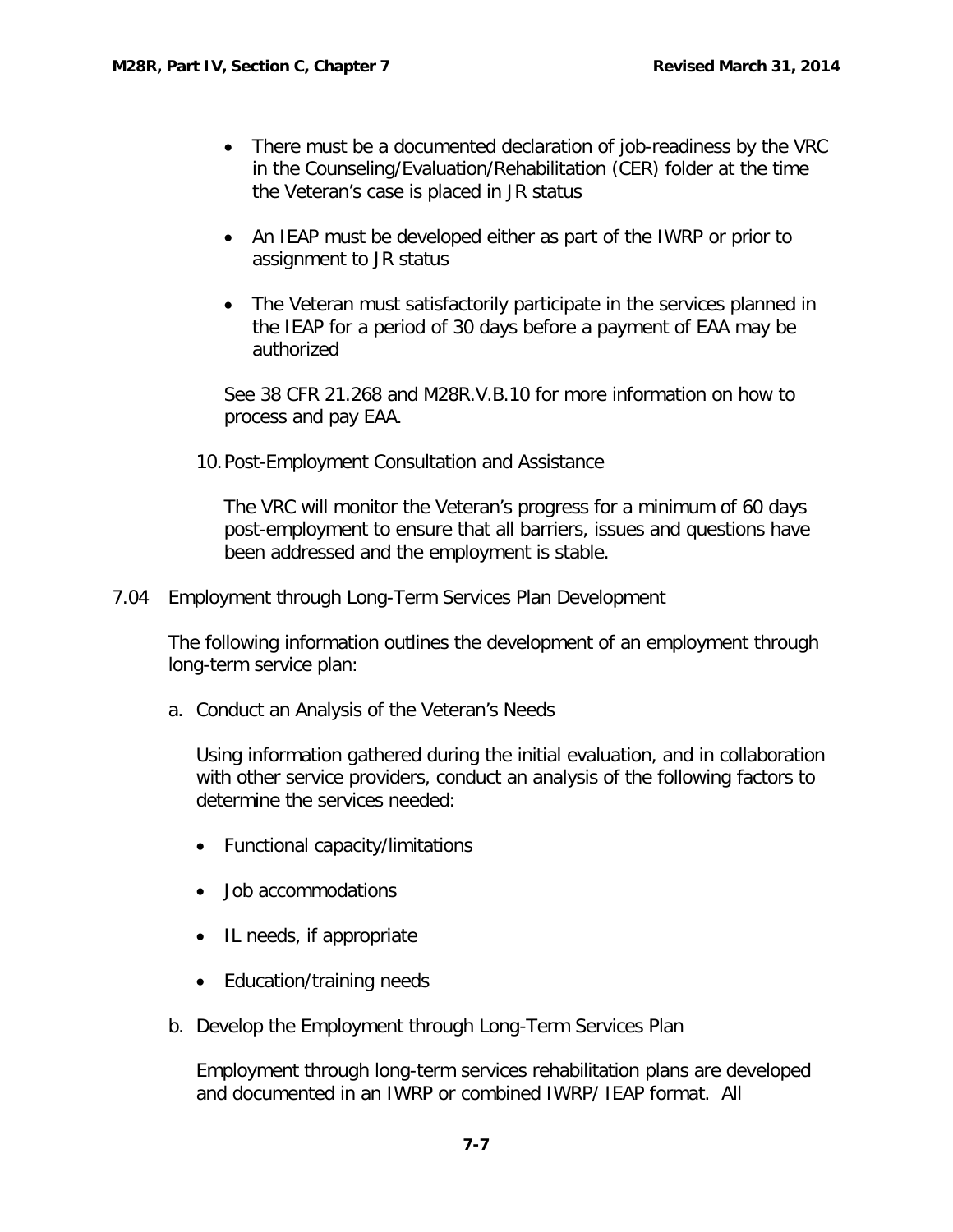- There must be a documented declaration of job-readiness by the VRC in the Counseling/Evaluation/Rehabilitation (CER) folder at the time the Veteran's case is placed in JR status
- An IEAP must be developed either as part of the IWRP or prior to assignment to JR status
- The Veteran must satisfactorily participate in the services planned in the IEAP for a period of 30 days before a payment of EAA may be authorized

See 38 CFR 21.268 and M28R.V.B.10 for more information on how to process and pay EAA.

10.Post-Employment Consultation and Assistance

The VRC will monitor the Veteran's progress for a minimum of 60 days post-employment to ensure that all barriers, issues and questions have been addressed and the employment is stable.

<span id="page-7-0"></span>7.04 Employment through Long-Term Services Plan Development

The following information outlines the development of an employment through long-term service plan:

<span id="page-7-1"></span>a. Conduct an Analysis of the Veteran's Needs

Using information gathered during the initial evaluation, and in collaboration with other service providers, conduct an analysis of the following factors to determine the services needed:

- Functional capacity/limitations
- Job accommodations
- IL needs, if appropriate
- Education/training needs
- <span id="page-7-2"></span>b. Develop the Employment through Long-Term Services Plan

Employment through long-term services rehabilitation plans are developed and documented in an IWRP or combined IWRP/ IEAP format. All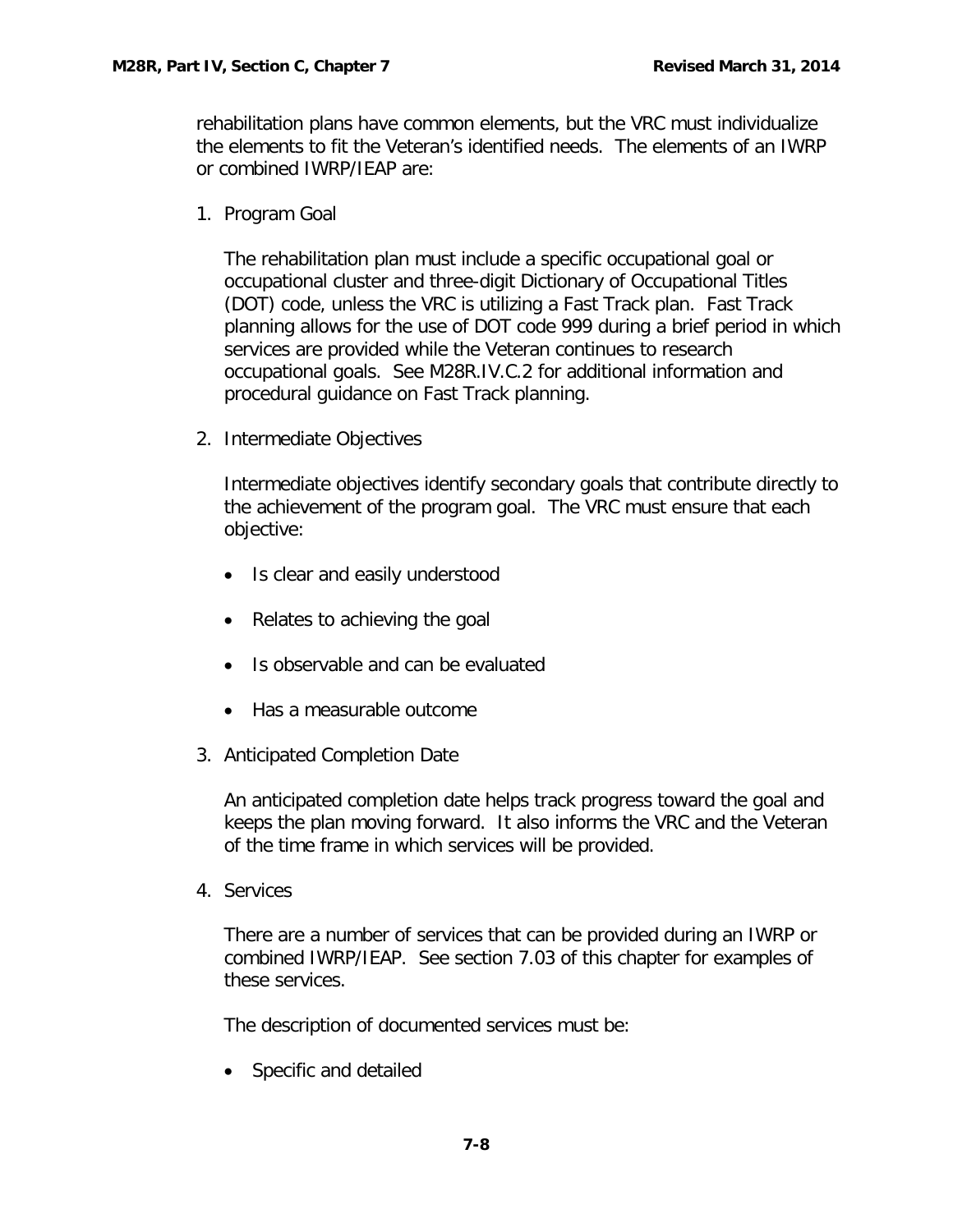rehabilitation plans have common elements, but the VRC must individualize the elements to fit the Veteran's identified needs. The elements of an IWRP or combined IWRP/IEAP are:

1. Program Goal

The rehabilitation plan must include a specific occupational goal or occupational cluster and three-digit Dictionary of Occupational Titles (DOT) code, unless the VRC is utilizing a Fast Track plan. Fast Track planning allows for the use of DOT code 999 during a brief period in which services are provided while the Veteran continues to research occupational goals. See M28R.IV.C.2 for additional information and procedural guidance on Fast Track planning.

2. Intermediate Objectives

Intermediate objectives identify secondary goals that contribute directly to the achievement of the program goal. The VRC must ensure that each objective:

- Is clear and easily understood
- Relates to achieving the goal
- Is observable and can be evaluated
- Has a measurable outcome
- 3. Anticipated Completion Date

An anticipated completion date helps track progress toward the goal and keeps the plan moving forward. It also informs the VRC and the Veteran of the time frame in which services will be provided.

4. Services

There are a number of services that can be provided during an IWRP or combined IWRP/IEAP. See section 7.03 of this chapter for examples of these services.

The description of documented services must be:

• Specific and detailed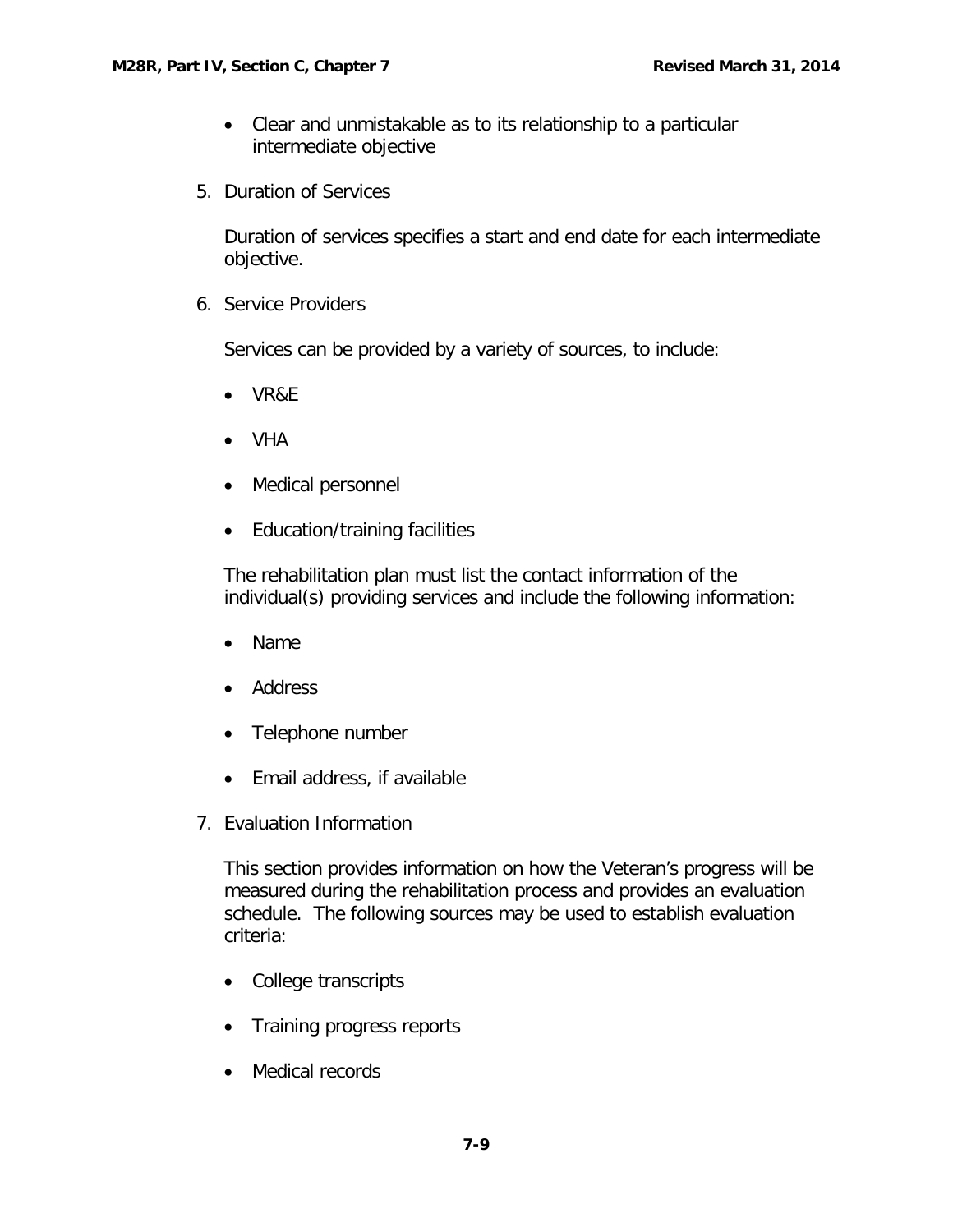- Clear and unmistakable as to its relationship to a particular intermediate objective
- 5. Duration of Services

Duration of services specifies a start and end date for each intermediate objective.

6. Service Providers

Services can be provided by a variety of sources, to include:

- VR&E
- VHA
- Medical personnel
- Education/training facilities

The rehabilitation plan must list the contact information of the individual(s) providing services and include the following information:

- Name
- Address
- Telephone number
- Email address, if available
- 7. Evaluation Information

This section provides information on how the Veteran's progress will be measured during the rehabilitation process and provides an evaluation schedule. The following sources may be used to establish evaluation criteria:

- College transcripts
- Training progress reports
- Medical records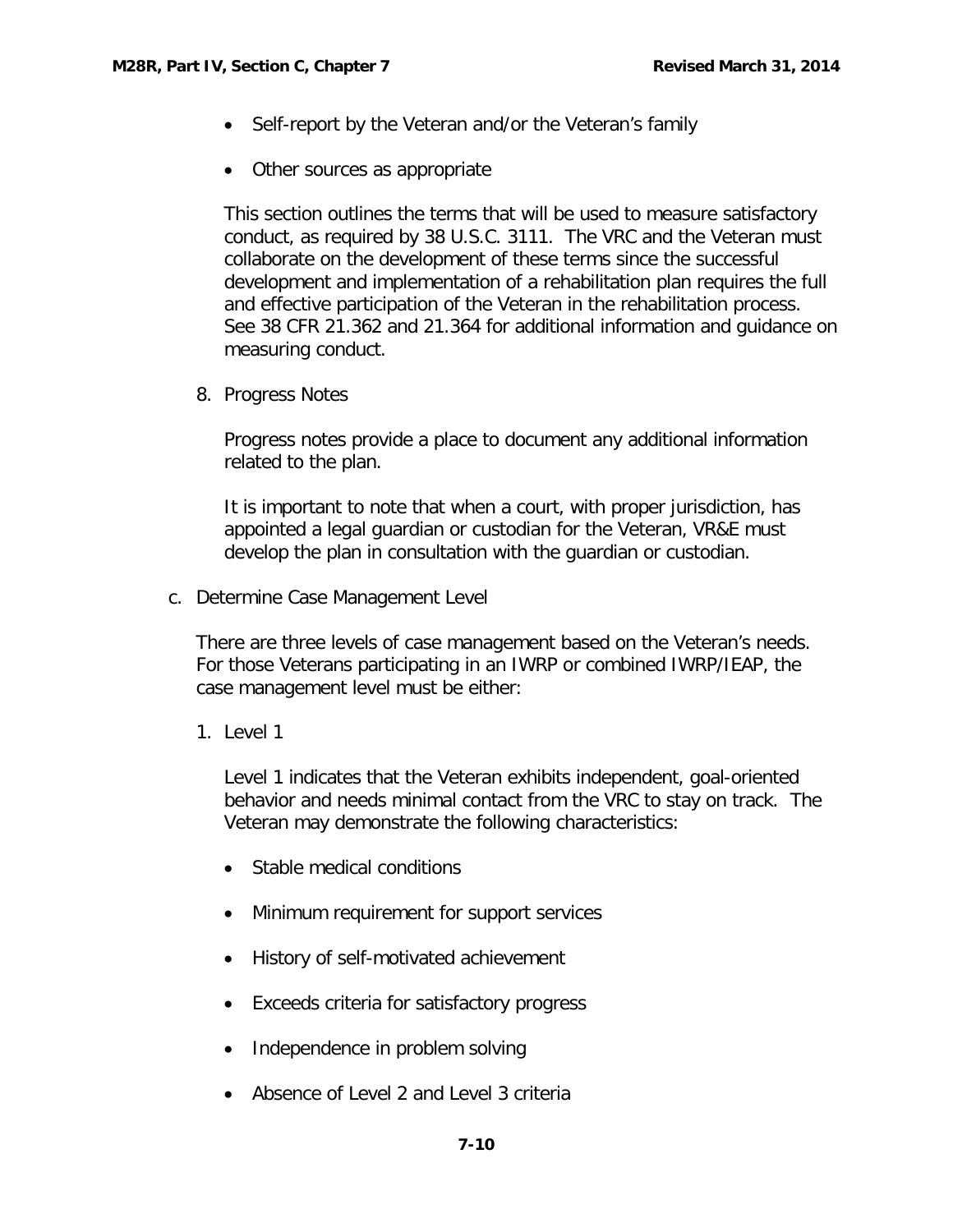- Self-report by the Veteran and/or the Veteran's family
- Other sources as appropriate

This section outlines the terms that will be used to measure satisfactory conduct, as required by 38 U.S.C. 3111. The VRC and the Veteran must collaborate on the development of these terms since the successful development and implementation of a rehabilitation plan requires the full and effective participation of the Veteran in the rehabilitation process. See 38 CFR 21.362 and 21.364 for additional information and guidance on measuring conduct.

8. Progress Notes

Progress notes provide a place to document any additional information related to the plan.

It is important to note that when a court, with proper jurisdiction, has appointed a legal guardian or custodian for the Veteran, VR&E must develop the plan in consultation with the guardian or custodian.

<span id="page-10-0"></span>c. Determine Case Management Level

There are three levels of case management based on the Veteran's needs. For those Veterans participating in an IWRP or combined IWRP/IEAP, the case management level must be either:

1. Level 1

Level 1 indicates that the Veteran exhibits independent, goal-oriented behavior and needs minimal contact from the VRC to stay on track. The Veteran may demonstrate the following characteristics:

- Stable medical conditions
- Minimum requirement for support services
- History of self-motivated achievement
- Exceeds criteria for satisfactory progress
- Independence in problem solving
- Absence of Level 2 and Level 3 criteria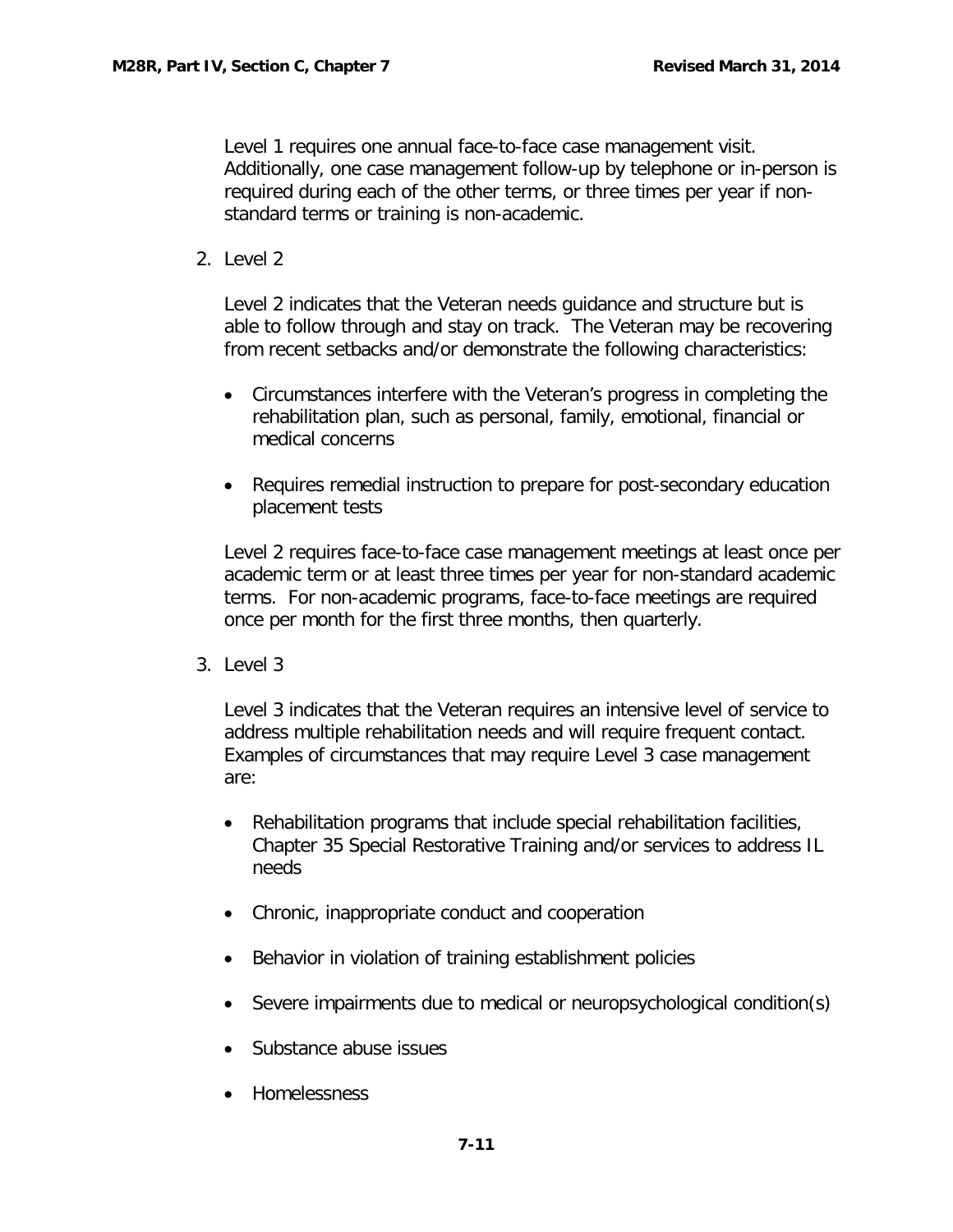Level 1 requires one annual face-to-face case management visit. Additionally, one case management follow-up by telephone or in-person is required during each of the other terms, or three times per year if nonstandard terms or training is non-academic.

2. Level 2

Level 2 indicates that the Veteran needs guidance and structure but is able to follow through and stay on track. The Veteran may be recovering from recent setbacks and/or demonstrate the following characteristics:

- Circumstances interfere with the Veteran's progress in completing the rehabilitation plan, such as personal, family, emotional, financial or medical concerns
- Requires remedial instruction to prepare for post-secondary education placement tests

Level 2 requires face-to-face case management meetings at least once per academic term or at least three times per year for non-standard academic terms. For non-academic programs, face-to-face meetings are required once per month for the first three months, then quarterly.

3. Level 3

Level 3 indicates that the Veteran requires an intensive level of service to address multiple rehabilitation needs and will require frequent contact. Examples of circumstances that may require Level 3 case management are:

- Rehabilitation programs that include special rehabilitation facilities, Chapter 35 Special Restorative Training and/or services to address IL needs
- Chronic, inappropriate conduct and cooperation
- Behavior in violation of training establishment policies
- Severe impairments due to medical or neuropsychological condition(s)
- Substance abuse issues
- Homelessness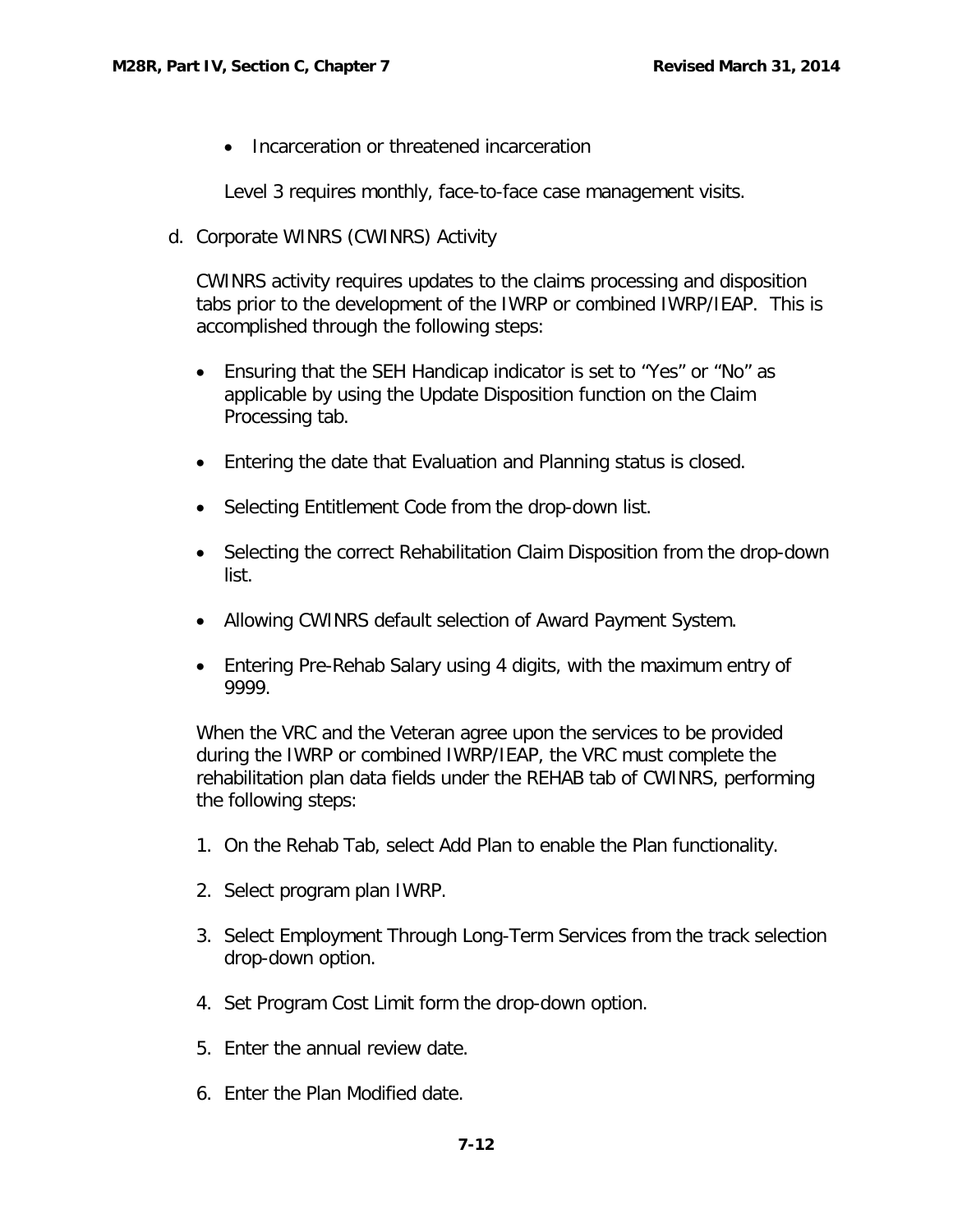• Incarceration or threatened incarceration

Level 3 requires monthly, face-to-face case management visits.

<span id="page-12-0"></span>d. Corporate WINRS (CWINRS) Activity

CWINRS activity requires updates to the claims processing and disposition tabs prior to the development of the IWRP or combined IWRP/IEAP. This is accomplished through the following steps:

- Ensuring that the SEH Handicap indicator is set to "Yes" or "No" as applicable by using the Update Disposition function on the Claim Processing tab.
- Entering the date that Evaluation and Planning status is closed.
- Selecting Entitlement Code from the drop-down list.
- Selecting the correct Rehabilitation Claim Disposition from the drop-down list.
- Allowing CWINRS default selection of Award Payment System.
- Entering Pre-Rehab Salary using 4 digits, with the maximum entry of 9999.

When the VRC and the Veteran agree upon the services to be provided during the IWRP or combined IWRP/IEAP, the VRC must complete the rehabilitation plan data fields under the REHAB tab of CWINRS, performing the following steps:

- 1. On the Rehab Tab, select Add Plan to enable the Plan functionality.
- 2. Select program plan IWRP.
- 3. Select Employment Through Long-Term Services from the track selection drop-down option.
- 4. Set Program Cost Limit form the drop-down option.
- 5. Enter the annual review date.
- 6. Enter the Plan Modified date.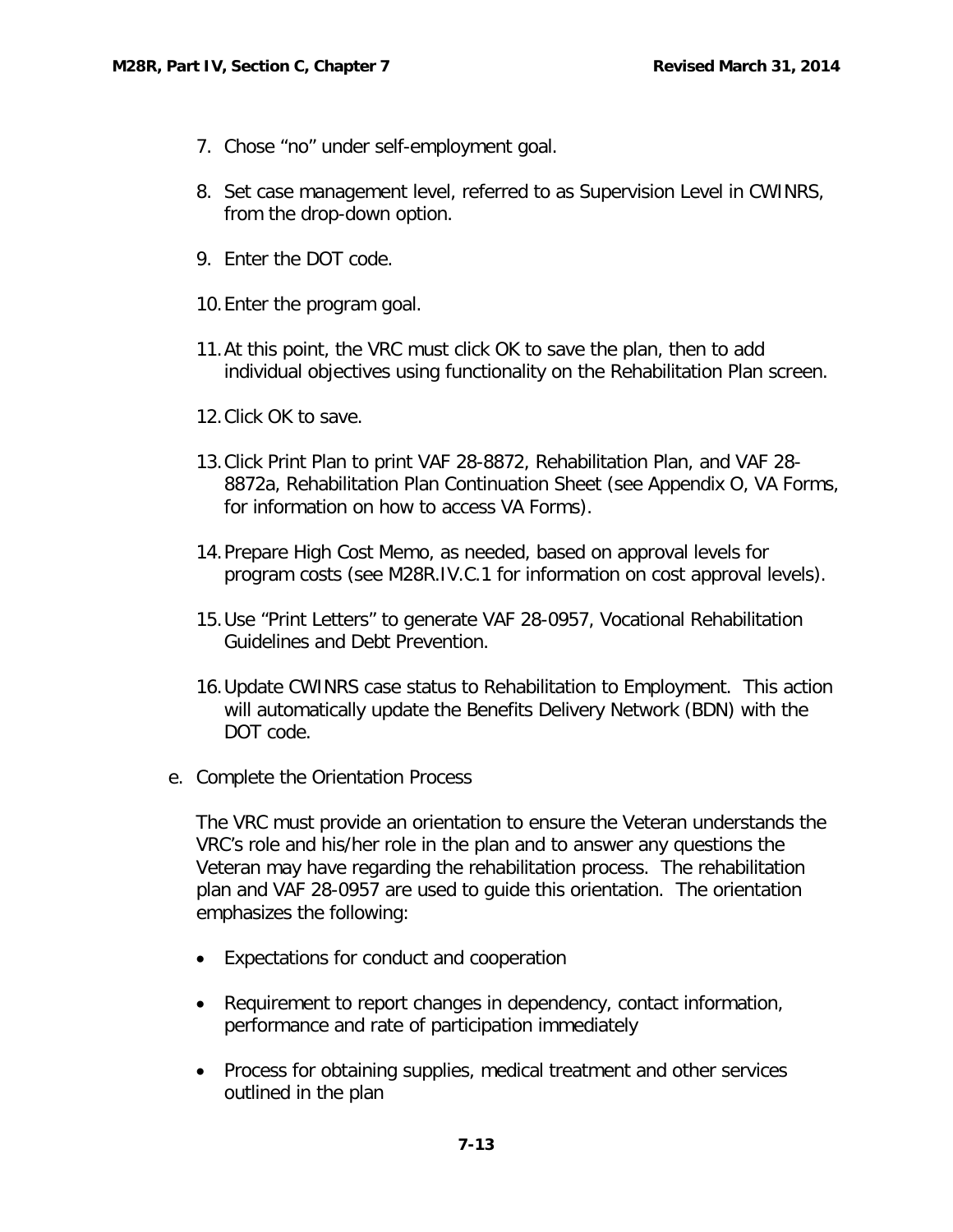- 7. Chose "no" under self-employment goal.
- 8. Set case management level, referred to as Supervision Level in CWINRS, from the drop-down option.
- 9. Enter the DOT code.
- 10.Enter the program goal.
- 11.At this point, the VRC must click OK to save the plan, then to add individual objectives using functionality on the Rehabilitation Plan screen.
- 12.Click OK to save.
- 13.Click Print Plan to print VAF 28-8872, Rehabilitation Plan, and VAF 28- 8872a, Rehabilitation Plan Continuation Sheet (see Appendix O, VA Forms, for information on how to access VA Forms).
- 14.Prepare High Cost Memo, as needed, based on approval levels for program costs (see M28R.IV.C.1 for information on cost approval levels).
- 15.Use "Print Letters" to generate VAF 28-0957, Vocational Rehabilitation Guidelines and Debt Prevention.
- 16.Update CWINRS case status to Rehabilitation to Employment. This action will automatically update the Benefits Delivery Network (BDN) with the DOT code.
- <span id="page-13-0"></span>e. Complete the Orientation Process

The VRC must provide an orientation to ensure the Veteran understands the VRC's role and his/her role in the plan and to answer any questions the Veteran may have regarding the rehabilitation process. The rehabilitation plan and VAF 28-0957 are used to guide this orientation. The orientation emphasizes the following:

- Expectations for conduct and cooperation
- Requirement to report changes in dependency, contact information, performance and rate of participation immediately
- Process for obtaining supplies, medical treatment and other services outlined in the plan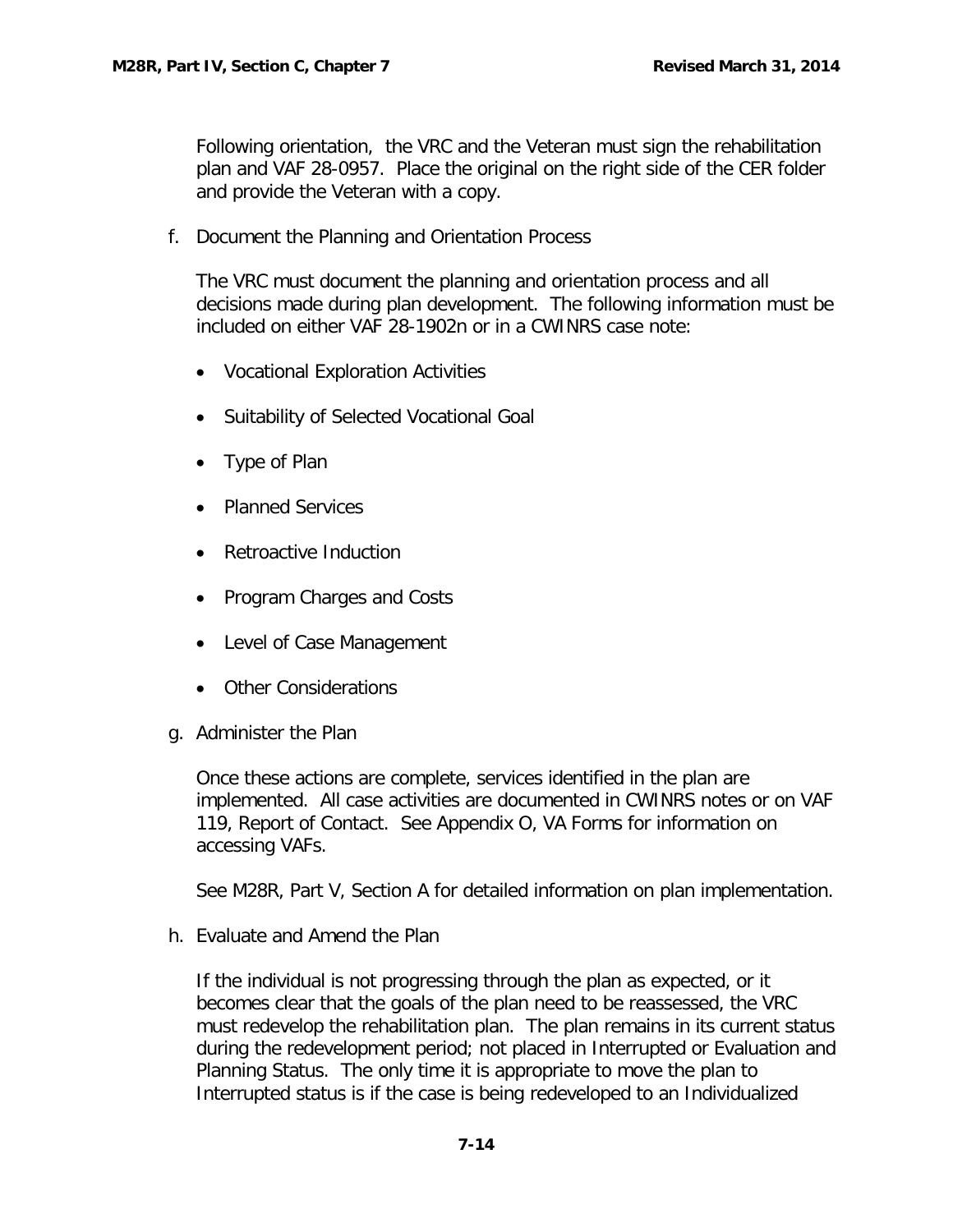Following orientation, the VRC and the Veteran must sign the rehabilitation plan and VAF 28-0957. Place the original on the right side of the CER folder and provide the Veteran with a copy.

<span id="page-14-0"></span>f. Document the Planning and Orientation Process

The VRC must document the planning and orientation process and all decisions made during plan development. The following information must be included on either VAF 28-1902n or in a CWINRS case note:

- Vocational Exploration Activities
- Suitability of Selected Vocational Goal
- Type of Plan
- Planned Services
- Retroactive Induction
- Program Charges and Costs
- Level of Case Management
- Other Considerations
- <span id="page-14-1"></span>g. Administer the Plan

Once these actions are complete, services identified in the plan are implemented. All case activities are documented in CWINRS notes or on VAF 119, Report of Contact. See Appendix O, VA Forms for information on accessing VAFs.

See M28R, Part V, Section A for detailed information on plan implementation.

<span id="page-14-2"></span>h. Evaluate and Amend the Plan

If the individual is not progressing through the plan as expected, or it becomes clear that the goals of the plan need to be reassessed, the VRC must redevelop the rehabilitation plan. The plan remains in its current status during the redevelopment period; not placed in Interrupted or Evaluation and Planning Status. The only time it is appropriate to move the plan to Interrupted status is if the case is being redeveloped to an Individualized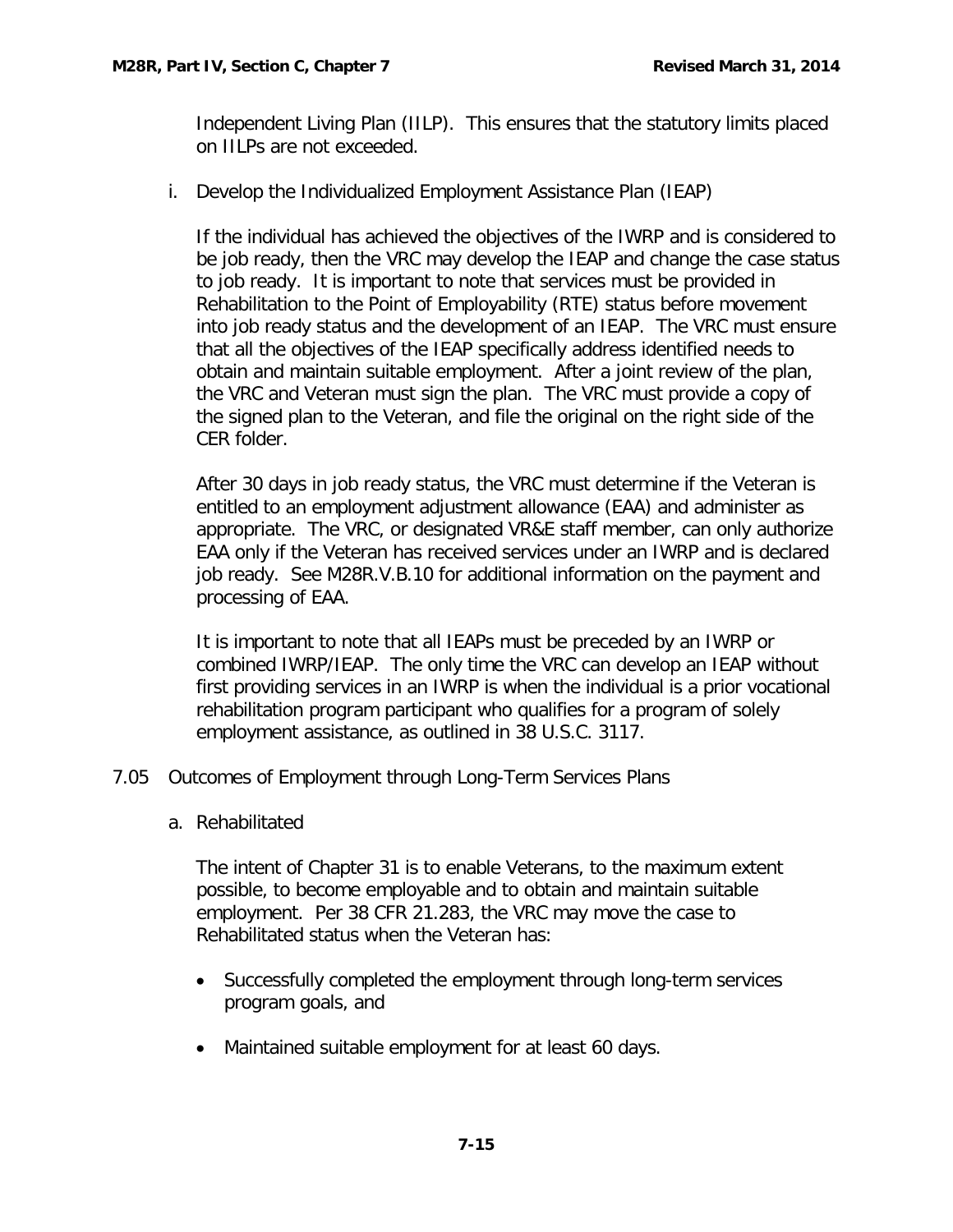Independent Living Plan (IILP). This ensures that the statutory limits placed on IILPs are not exceeded.

<span id="page-15-0"></span>i. Develop the Individualized Employment Assistance Plan (IEAP)

If the individual has achieved the objectives of the IWRP and is considered to be job ready, then the VRC may develop the IEAP and change the case status to job ready. It is important to note that services must be provided in Rehabilitation to the Point of Employability (RTE) status before movement into job ready status and the development of an IEAP. The VRC must ensure that all the objectives of the IEAP specifically address identified needs to obtain and maintain suitable employment. After a joint review of the plan, the VRC and Veteran must sign the plan. The VRC must provide a copy of the signed plan to the Veteran, and file the original on the right side of the CER folder.

After 30 days in job ready status, the VRC must determine if the Veteran is entitled to an employment adjustment allowance (EAA) and administer as appropriate. The VRC, or designated VR&E staff member, can only authorize EAA only if the Veteran has received services under an IWRP and is declared job ready. See M28R.V.B.10 for additional information on the payment and processing of EAA.

It is important to note that all IEAPs must be preceded by an IWRP or combined IWRP/IEAP. The only time the VRC can develop an IEAP without first providing services in an IWRP is when the individual is a prior vocational rehabilitation program participant who qualifies for a program of solely employment assistance, as outlined in 38 U.S.C. 3117.

- <span id="page-15-2"></span><span id="page-15-1"></span>7.05 Outcomes of Employment through Long-Term Services Plans
	- a. Rehabilitated

The intent of Chapter 31 is to enable Veterans, to the maximum extent possible, to become employable and to obtain and maintain suitable employment. Per 38 CFR 21.283, the VRC may move the case to Rehabilitated status when the Veteran has:

- Successfully completed the employment through long-term services program goals, and
- Maintained suitable employment for at least 60 days.